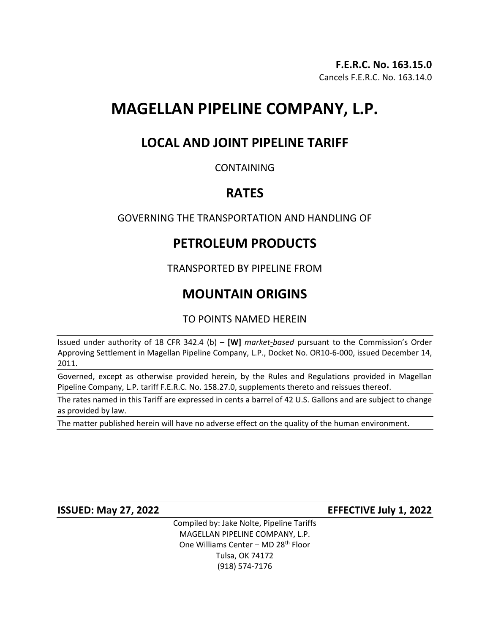# **MAGELLAN PIPELINE COMPANY, L.P.**

### **LOCAL AND JOINT PIPELINE TARIFF**

### CONTAINING

### **RATES**

### GOVERNING THE TRANSPORTATION AND HANDLING OF

## **PETROLEUM PRODUCTS**

TRANSPORTED BY PIPELINE FROM

## **MOUNTAIN ORIGINS**

TO POINTS NAMED HEREIN

Issued under authority of 18 CFR 342.4 (b) – **[W]** *market-based* pursuant to the Commission's Order Approving Settlement in Magellan Pipeline Company, L.P., Docket No. OR10-6-000, issued December 14, 2011.

Governed, except as otherwise provided herein, by the Rules and Regulations provided in Magellan Pipeline Company, L.P. tariff F.E.R.C. No. 158.27.0, supplements thereto and reissues thereof.

The rates named in this Tariff are expressed in cents a barrel of 42 U.S. Gallons and are subject to change as provided by law.

The matter published herein will have no adverse effect on the quality of the human environment.

**ISSUED: May 27, 2022 EFFECTIVE July 1, 2022**

Compiled by: Jake Nolte, Pipeline Tariffs MAGELLAN PIPELINE COMPANY, L.P. One Williams Center - MD 28<sup>th</sup> Floor Tulsa, OK 74172 (918) 574-7176